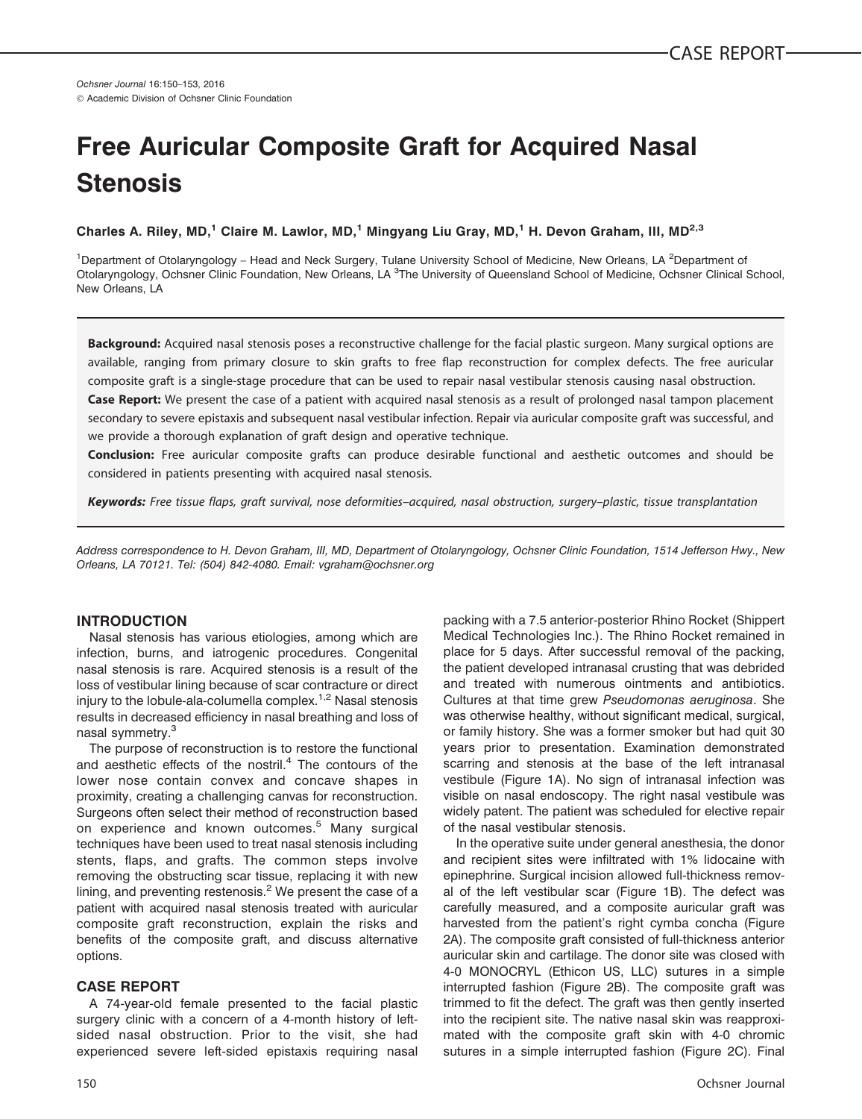Ochsner Journal 16:150–153, 2016 © Academic Division of Ochsner Clinic Foundation

# Free Auricular Composite Graft for Acquired Nasal **Stenosis**

Charles A. Riley, MD,<sup>1</sup> Claire M. Lawlor, MD,<sup>1</sup> Mingyang Liu Gray, MD,<sup>1</sup> H. Devon Graham, III, MD<sup>2,3</sup>

<sup>1</sup>Department of Otolaryngology – Head and Neck Surgery, Tulane University School of Medicine, New Orleans, LA <sup>2</sup>Department of Otolaryngology, Ochsner Clinic Foundation, New Orleans, LA <sup>3</sup>The University of Queensland School of Medicine, Ochsner Clinical School, New Orleans, LA

Background: Acquired nasal stenosis poses a reconstructive challenge for the facial plastic surgeon. Many surgical options are available, ranging from primary closure to skin grafts to free flap reconstruction for complex defects. The free auricular composite graft is a single-stage procedure that can be used to repair nasal vestibular stenosis causing nasal obstruction.

Case Report: We present the case of a patient with acquired nasal stenosis as a result of prolonged nasal tampon placement secondary to severe epistaxis and subsequent nasal vestibular infection. Repair via auricular composite graft was successful, and we provide a thorough explanation of graft design and operative technique.

Conclusion: Free auricular composite grafts can produce desirable functional and aesthetic outcomes and should be considered in patients presenting with acquired nasal stenosis.

Keywords: Free tissue flaps, graft survival, nose deformities-acquired, nasal obstruction, surgery-plastic, tissue transplantation

Address correspondence to H. Devon Graham, III, MD, Department of Otolaryngology, Ochsner Clinic Foundation, 1514 Jefferson Hwy., New Orleans, LA 70121. Tel: (504) 842-4080. Email: vgraham@ochsner.org

## INTRODUCTION

Nasal stenosis has various etiologies, among which are infection, burns, and iatrogenic procedures. Congenital nasal stenosis is rare. Acquired stenosis is a result of the loss of vestibular lining because of scar contracture or direct injury to the lobule-ala-columella complex.<sup>1,2</sup> Nasal stenosis results in decreased efficiency in nasal breathing and loss of nasal symmetry.<sup>3</sup>

The purpose of reconstruction is to restore the functional and aesthetic effects of the nostril.<sup>4</sup> The contours of the lower nose contain convex and concave shapes in proximity, creating a challenging canvas for reconstruction. Surgeons often select their method of reconstruction based on experience and known outcomes.<sup>5</sup> Many surgical techniques have been used to treat nasal stenosis including stents, flaps, and grafts. The common steps involve removing the obstructing scar tissue, replacing it with new lining, and preventing restenosis. $<sup>2</sup>$  We present the case of a</sup> patient with acquired nasal stenosis treated with auricular composite graft reconstruction, explain the risks and benefits of the composite graft, and discuss alternative options.

#### CASE REPORT

A 74-year-old female presented to the facial plastic surgery clinic with a concern of a 4-month history of leftsided nasal obstruction. Prior to the visit, she had experienced severe left-sided epistaxis requiring nasal packing with a 7.5 anterior-posterior Rhino Rocket (Shippert Medical Technologies Inc.). The Rhino Rocket remained in place for 5 days. After successful removal of the packing, the patient developed intranasal crusting that was debrided and treated with numerous ointments and antibiotics. Cultures at that time grew Pseudomonas aeruginosa. She was otherwise healthy, without significant medical, surgical, or family history. She was a former smoker but had quit 30 years prior to presentation. Examination demonstrated scarring and stenosis at the base of the left intranasal vestibule (Figure 1A). No sign of intranasal infection was visible on nasal endoscopy. The right nasal vestibule was widely patent. The patient was scheduled for elective repair of the nasal vestibular stenosis.

In the operative suite under general anesthesia, the donor and recipient sites were infiltrated with 1% lidocaine with epinephrine. Surgical incision allowed full-thickness removal of the left vestibular scar (Figure 1B). The defect was carefully measured, and a composite auricular graft was harvested from the patient's right cymba concha (Figure 2A). The composite graft consisted of full-thickness anterior auricular skin and cartilage. The donor site was closed with 4-0 MONOCRYL (Ethicon US, LLC) sutures in a simple interrupted fashion (Figure 2B). The composite graft was trimmed to fit the defect. The graft was then gently inserted into the recipient site. The native nasal skin was reapproximated with the composite graft skin with 4-0 chromic sutures in a simple interrupted fashion (Figure 2C). Final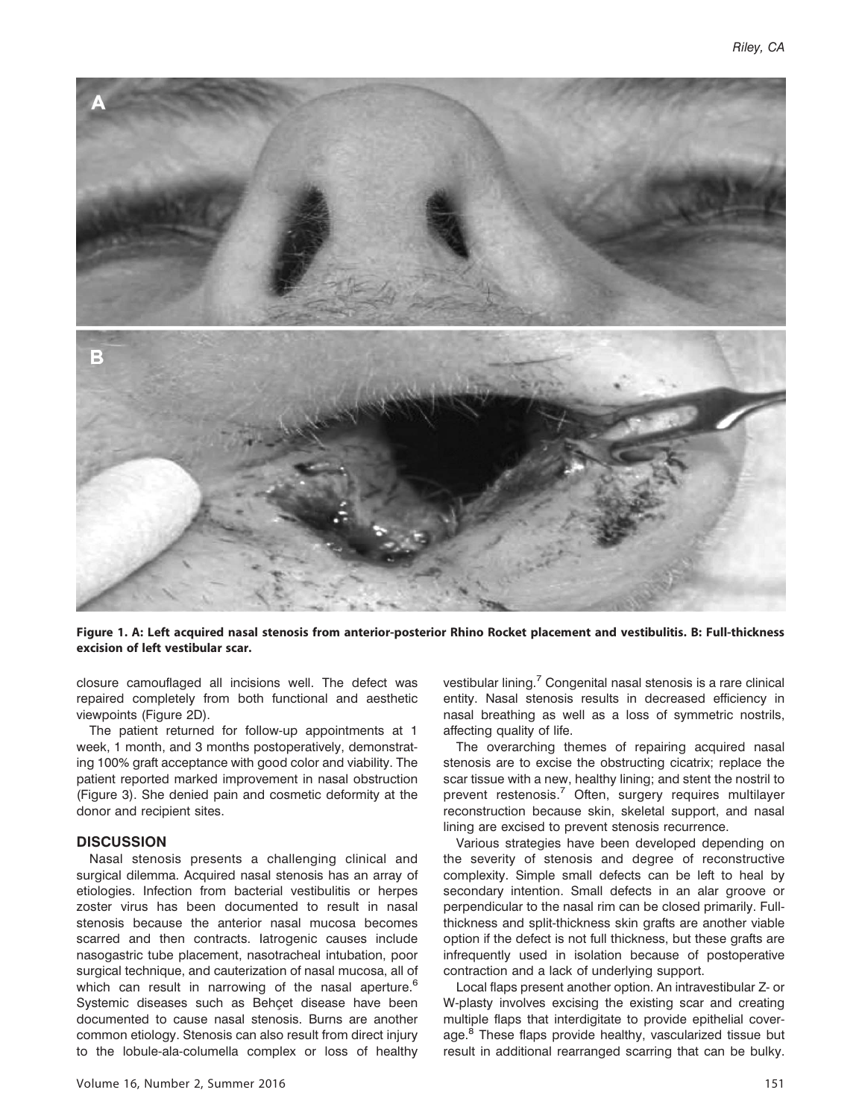

Figure 1. A: Left acquired nasal stenosis from anterior-posterior Rhino Rocket placement and vestibulitis. B: Full-thickness excision of left vestibular scar.

closure camouflaged all incisions well. The defect was repaired completely from both functional and aesthetic viewpoints (Figure 2D).

The patient returned for follow-up appointments at 1 week, 1 month, and 3 months postoperatively, demonstrating 100% graft acceptance with good color and viability. The patient reported marked improvement in nasal obstruction (Figure 3). She denied pain and cosmetic deformity at the donor and recipient sites.

#### **DISCUSSION**

Nasal stenosis presents a challenging clinical and surgical dilemma. Acquired nasal stenosis has an array of etiologies. Infection from bacterial vestibulitis or herpes zoster virus has been documented to result in nasal stenosis because the anterior nasal mucosa becomes scarred and then contracts. Iatrogenic causes include nasogastric tube placement, nasotracheal intubation, poor surgical technique, and cauterization of nasal mucosa, all of which can result in narrowing of the nasal aperture.<sup>6</sup> Systemic diseases such as Behçet disease have been documented to cause nasal stenosis. Burns are another common etiology. Stenosis can also result from direct injury to the lobule-ala-columella complex or loss of healthy

Volume 16, Number 2, Summer 2016 151 and the state of the state of the state of the state of the state of the state of the state of the state of the state of the state of the state of the state of the state of the state of

vestibular lining.<sup>7</sup> Congenital nasal stenosis is a rare clinical entity. Nasal stenosis results in decreased efficiency in nasal breathing as well as a loss of symmetric nostrils, affecting quality of life.

The overarching themes of repairing acquired nasal stenosis are to excise the obstructing cicatrix; replace the scar tissue with a new, healthy lining; and stent the nostril to prevent restenosis.<sup>7</sup> Often, surgery requires multilayer reconstruction because skin, skeletal support, and nasal lining are excised to prevent stenosis recurrence.

Various strategies have been developed depending on the severity of stenosis and degree of reconstructive complexity. Simple small defects can be left to heal by secondary intention. Small defects in an alar groove or perpendicular to the nasal rim can be closed primarily. Fullthickness and split-thickness skin grafts are another viable option if the defect is not full thickness, but these grafts are infrequently used in isolation because of postoperative contraction and a lack of underlying support.

Local flaps present another option. An intravestibular Z- or W-plasty involves excising the existing scar and creating multiple flaps that interdigitate to provide epithelial coverage.<sup>8</sup> These flaps provide healthy, vascularized tissue but result in additional rearranged scarring that can be bulky.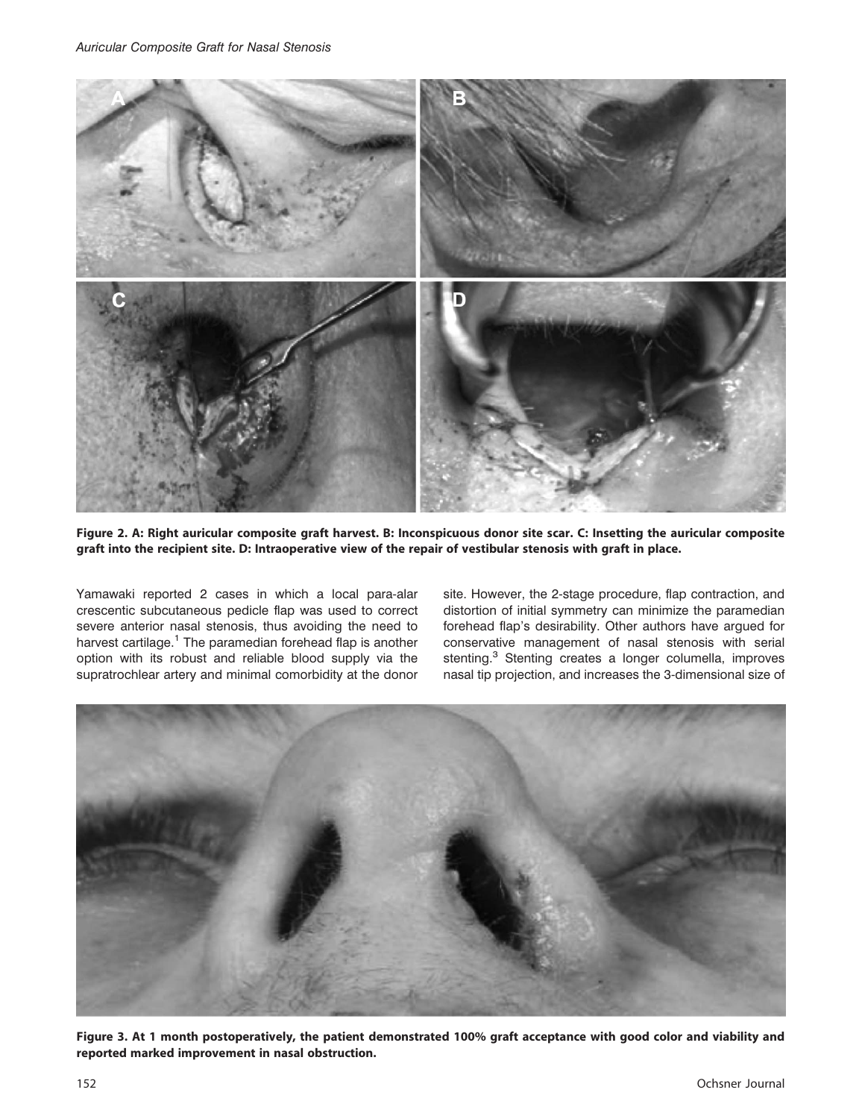

Figure 2. A: Right auricular composite graft harvest. B: Inconspicuous donor site scar. C: Insetting the auricular composite graft into the recipient site. D: Intraoperative view of the repair of vestibular stenosis with graft in place.

Yamawaki reported 2 cases in which a local para-alar crescentic subcutaneous pedicle flap was used to correct severe anterior nasal stenosis, thus avoiding the need to harvest cartilage.<sup>1</sup> The paramedian forehead flap is another option with its robust and reliable blood supply via the supratrochlear artery and minimal comorbidity at the donor site. However, the 2-stage procedure, flap contraction, and distortion of initial symmetry can minimize the paramedian forehead flap's desirability. Other authors have argued for conservative management of nasal stenosis with serial stenting.<sup>3</sup> Stenting creates a longer columella, improves nasal tip projection, and increases the 3-dimensional size of



Figure 3. At 1 month postoperatively, the patient demonstrated 100% graft acceptance with good color and viability and reported marked improvement in nasal obstruction.